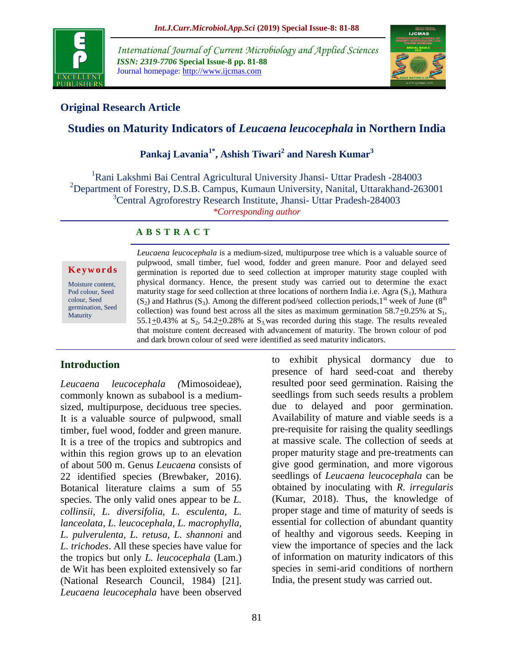

*International Journal of Current Microbiology and Applied Sciences ISSN: 2319-7706* **Special Issue-8 pp. 81-88** Journal homepage: http://www.ijcmas.com



## **Original Research Article**

# **Studies on Maturity Indicators of** *Leucaena leucocephala* **in Northern India**

# **Pankaj Lavania1\* , Ashish Tiwari<sup>2</sup> and Naresh Kumar<sup>3</sup>**

<sup>1</sup>Rani Lakshmi Bai Central Agricultural University Jhansi- Uttar Pradesh -284003 <sup>2</sup>Department of Forestry, D.S.B. Campus, Kumaun University, Nanital, Uttarakhand-263001 <sup>3</sup>Central Agroforestry Research Institute, Jhansi- Uttar Pradesh-284003 *\*Corresponding author*

### **A B S T R A C T**

#### **K e y w o r d s**

Moisture content, Pod colour, Seed colour, Seed germination, Seed **Maturity** 

*Leucaena leucocephala* is a medium-sized, multipurpose tree which is a valuable source of pulpwood, small timber, fuel wood, fodder and green manure. Poor and delayed seed germination is reported due to seed collection at improper maturity stage coupled with physical dormancy. Hence, the present study was carried out to determine the exact maturity stage for seed collection at three locations of northern India i.e. Agra  $(S_1)$ , Mathura  $(S_2)$  and Hathrus  $(S_3)$ . Among the different pod/seed collection periods, 1<sup>st</sup> week of June (8<sup>th</sup>) collection) was found best across all the sites as maximum germination  $58.7 \pm 0.25$ % at S<sub>1</sub>, 55.1 $\pm$ 0.43% at S<sub>2</sub>, 54.2 $\pm$ 0.28% at S<sub>3</sub>, was recorded during this stage. The results revealed that moisture content decreased with advancement of maturity. The brown colour of pod and dark brown colour of seed were identified as seed maturity indicators.

### **Introduction**

*Leucaena leucocephala (*Mimosoideae), commonly known as subabool is a mediumsized, multipurpose, deciduous tree species. It is a valuable source of pulpwood, small timber, fuel wood, fodder and green manure. It is a tree of the tropics and subtropics and within this region grows up to an elevation of about 500 m. Genus *Leucaena* consists of 22 identified species (Brewbaker, 2016). Botanical literature claims a sum of 55 species. The only valid ones appear to be *L. collinsii, L. diversifolia, L. esculenta, L. lanceolata, L. leucocephala, L. macrophylla, L. pulverulenta, L. retusa, L. shannoni* and *L. trichodes*. All these species have value for the tropics but only *L. leucocephala* (Lam.) de Wit has been exploited extensively so far (National Research Council, 1984) [21]. *Leucaena leucocephala* have been observed

presence of hard seed-coat and thereby resulted poor seed germination. Raising the seedlings from such seeds results a problem due to delayed and poor germination. Availability of mature and viable seeds is a pre-requisite for raising the quality seedlings at massive scale. The collection of seeds at proper maturity stage and pre-treatments can give good germination, and more vigorous seedlings of *Leucaena leucocephala* can be obtained by inoculating with *R. irregularis* (Kumar, 2018). Thus, the knowledge of proper stage and time of maturity of seeds is essential for collection of abundant quantity of healthy and vigorous seeds. Keeping in view the importance of species and the lack of information on maturity indicators of this species in semi-arid conditions of northern India, the present study was carried out.

to exhibit physical dormancy due to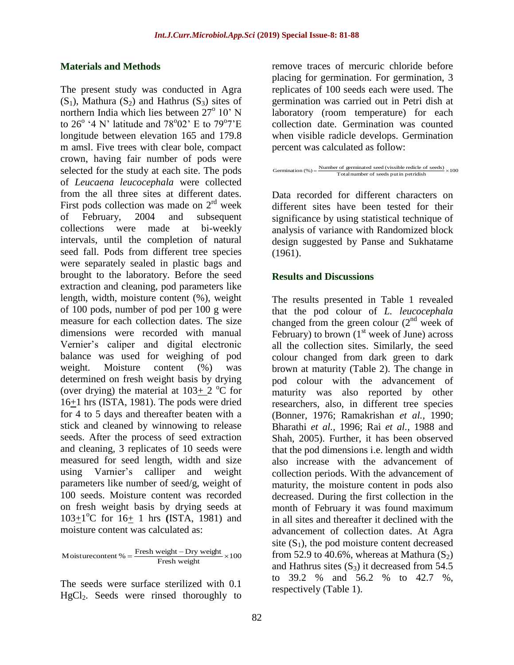### **Materials and Methods**

The present study was conducted in Agra  $(S_1)$ , Mathura  $(S_2)$  and Hathrus  $(S_3)$  sites of northern India which lies between  $27^{\circ}$  10' N to  $26^{\circ}$  '4 N' latitude and 78°02' E to 79°7'E longitude between elevation 165 and 179.8 m amsl. Five trees with clear bole, compact crown, having fair number of pods were selected for the study at each site. The pods of *Leucaena leucocephala* were collected from the all three sites at different dates. First pods collection was made on  $2<sup>rd</sup>$  week of February, 2004 and subsequent collections were made at bi-weekly intervals, until the completion of natural seed fall. Pods from different tree species were separately sealed in plastic bags and brought to the laboratory. Before the seed extraction and cleaning, pod parameters like length, width, moisture content (%), weight of 100 pods, number of pod per 100 g were measure for each collection dates. The size dimensions were recorded with manual Vernier's caliper and digital electronic balance was used for weighing of pod weight. Moisture content (%) was determined on fresh weight basis by drying (over drying) the material at  $103+2$  °C for 16+1 hrs (ISTA, 1981). The pods were dried for 4 to 5 days and thereafter beaten with a stick and cleaned by winnowing to release seeds. After the process of seed extraction and cleaning, 3 replicates of 10 seeds were measured for seed length, width and size using Varnier's calliper and weight parameters like number of seed/g, weight of 100 seeds. Moisture content was recorded on fresh weight basis by drying seeds at 103<sup>+1</sup>°C for 16<sup>+</sup> 1 hrs (ISTA, 1981) and moisture content was calculated as:

Moisturecontent % =  $\frac{\text{Fresh weight} - \text{Dry weight}}{\text{Fresh weight}} \times 100$ 

The seeds were surface sterilized with 0.1 HgCl2. Seeds were rinsed thoroughly to remove traces of mercuric chloride before placing for germination. For germination, 3 replicates of 100 seeds each were used. The germination was carried out in Petri dish at laboratory (room temperature) for each collection date. Germination was counted when visible radicle develops. Germination percent was calculated as follow:



Data recorded for different characters on different sites have been tested for their significance by using statistical technique of analysis of variance with Randomized block design suggested by Panse and Sukhatame (1961).

#### **Results and Discussions**

The results presented in Table 1 revealed that the pod colour of *L. leucocephala*  changed from the green colour  $(2<sup>nd</sup>$  week of February) to brown  $(1<sup>st</sup>$  week of June) across all the collection sites. Similarly, the seed colour changed from dark green to dark brown at maturity (Table 2). The change in pod colour with the advancement of maturity was also reported by other researchers, also, in different tree species (Bonner, 1976; Ramakrishan *et al.,* 1990; Bharathi *et al.,* 1996; Rai *et al.,* 1988 and Shah, 2005). Further, it has been observed that the pod dimensions i.e. length and width also increase with the advancement of collection periods. With the advancement of maturity, the moisture content in pods also decreased. During the first collection in the month of February it was found maximum in all sites and thereafter it declined with the advancement of collection dates. At Agra site  $(S_1)$ , the pod moisture content decreased from 52.9 to 40.6%, whereas at Mathura  $(S_2)$ and Hathrus sites  $(S_3)$  it decreased from 54.5 to 39.2 % and 56.2 % to 42.7 %, respectively (Table 1).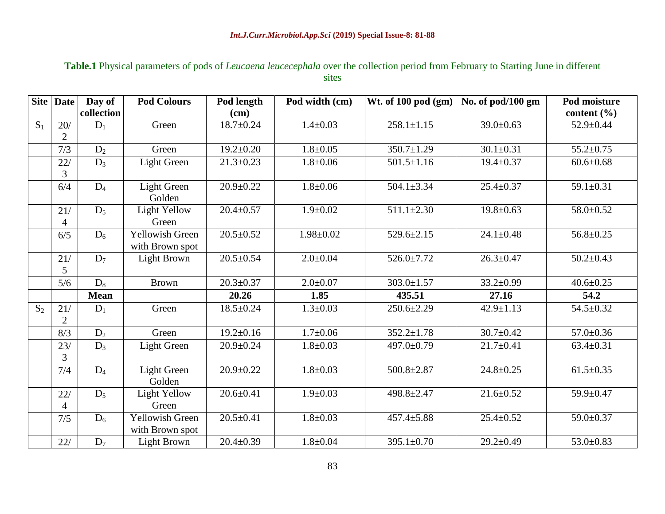### **Table.1** Physical parameters of pods of *Leucaena leucecephala* over the collection period from February to Starting June in different sites

|       | Site Date      | Day of      | <b>Pod Colours</b>     | Pod length      | Pod width (cm)  | Wt. of 100 pod (gm) | No. of pod/100 gm | Pod moisture    |  |
|-------|----------------|-------------|------------------------|-----------------|-----------------|---------------------|-------------------|-----------------|--|
|       |                | collection  |                        | (cm)            |                 |                     |                   | content $(\% )$ |  |
| $S_1$ | 20/            | $D_1$       | Green                  | $18.7 \pm 0.24$ | $1.4 \pm 0.03$  | $258.1 \pm 1.15$    | $39.0 \pm 0.63$   | 52.9±0.44       |  |
|       | $\overline{2}$ |             |                        |                 |                 |                     |                   |                 |  |
|       | 7/3            | $D_2$       | Green                  | $19.2 \pm 0.20$ | $1.8 \pm 0.05$  | $350.7 \pm 1.29$    | $30.1 \pm 0.31$   | $55.2 \pm 0.75$ |  |
|       | 22/            | $D_3$       | <b>Light Green</b>     | $21.3 \pm 0.23$ | $1.8 \pm 0.06$  | $501.5 \pm 1.16$    | $19.4 \pm 0.37$   | $60.6 \pm 0.68$ |  |
|       | 3              |             |                        |                 |                 |                     |                   |                 |  |
|       | 6/4            | $D_4$       | <b>Light Green</b>     | $20.9 \pm 0.22$ | $1.8 + 0.06$    | $504.1 \pm 3.34$    | $25.4 \pm 0.37$   | $59.1 \pm 0.31$ |  |
|       |                |             | Golden                 |                 |                 |                     |                   |                 |  |
|       | 21/            | $D_5$       | Light Yellow           | $20.4 \pm 0.57$ | $1.9 \pm 0.02$  | $511.1 \pm 2.30$    | $19.8 \pm 0.63$   | 58.0±0.52       |  |
|       | 4              |             | Green                  |                 |                 |                     |                   |                 |  |
|       | 6/5            | $D_6$       | <b>Yellowish Green</b> | $20.5 \pm 0.52$ | $1.98 \pm 0.02$ | $529.6 \pm 2.15$    | $24.1 \pm 0.48$   | $56.8 \pm 0.25$ |  |
|       |                |             | with Brown spot        |                 |                 |                     |                   |                 |  |
|       | 21/            | $D_7$       | Light Brown            | $20.5 \pm 0.54$ | $2.0 \pm 0.04$  | $526.0 \pm 7.72$    | $26.3 \pm 0.47$   | $50.2 \pm 0.43$ |  |
|       | 5              |             |                        |                 |                 |                     |                   |                 |  |
|       | 5/6            | $D_8$       | <b>Brown</b>           | $20.3 \pm 0.37$ | $2.0 \pm 0.07$  | $303.0 \pm 1.57$    | $33.2 \pm 0.99$   | $40.6 \pm 0.25$ |  |
|       |                | <b>Mean</b> |                        | 20.26           | 1.85            | 435.51              | 27.16             | 54.2            |  |
| $S_2$ | 21/            | $D_1$       | Green                  | $18.5 \pm 0.24$ | $1.3 \pm 0.03$  | $250.6 \pm 2.29$    | $42.9 \pm 1.13$   | 54.5±0.32       |  |
|       | $\overline{2}$ |             |                        |                 |                 |                     |                   |                 |  |
|       | 8/3            | $D_2$       | Green                  | $19.2 \pm 0.16$ | $1.7 \pm 0.06$  | $352.2 \pm 1.78$    | $30.7 \pm 0.42$   | $57.0 \pm 0.36$ |  |
|       | 23/            | $D_3$       | Light Green            | $20.9 \pm 0.24$ | $1.8 + 0.03$    | 497.0±0.79          | $21.7 \pm 0.41$   | $63.4 \pm 0.31$ |  |
|       | 3              |             |                        |                 |                 |                     |                   |                 |  |
|       | 7/4            | $D_4$       | <b>Light Green</b>     | $20.9 \pm 0.22$ | $1.8 \pm 0.03$  | $500.8 \pm 2.87$    | $24.8 \pm 0.25$   | $61.5 \pm 0.35$ |  |
|       |                |             | Golden                 |                 |                 |                     |                   |                 |  |
|       | 22/            | $D_5$       | <b>Light Yellow</b>    | $20.6 \pm 0.41$ | $1.9 \pm 0.03$  | 498.8±2.47          | $21.6 \pm 0.52$   | 59.9±0.47       |  |
|       | 4              |             | Green                  |                 |                 |                     |                   |                 |  |
|       | 7/5            | $D_6$       | Yellowish Green        | $20.5 \pm 0.41$ | $1.8 \pm 0.03$  | $457.4 \pm 5.88$    | $25.4 \pm 0.52$   | 59.0±0.37       |  |
|       |                |             | with Brown spot        |                 |                 |                     |                   |                 |  |
|       | 22/            | $D_7$       | Light Brown            | $20.4 \pm 0.39$ | $1.8 + 0.04$    | $395.1 \pm 0.70$    | $29.2 \pm 0.49$   | $53.0 \pm 0.83$ |  |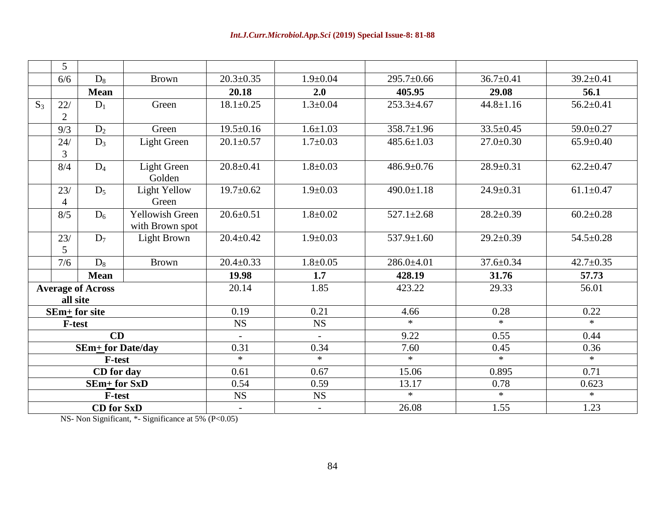|                          | 5                            |                          |                        |                          |                          |                  |                 |                 |
|--------------------------|------------------------------|--------------------------|------------------------|--------------------------|--------------------------|------------------|-----------------|-----------------|
|                          | $D_8$<br><b>Brown</b><br>6/6 |                          | $20.3 \pm 0.35$        | $1.9 \pm 0.04$           | $295.7 \pm 0.66$         | $36.7 \pm 0.41$  | $39.2 \pm 0.41$ |                 |
|                          |                              | <b>Mean</b>              |                        | 20.18                    | 2.0                      | 405.95           | 29.08           | 56.1            |
| $S_3$                    | 22/                          | $D_1$                    | Green                  | $18.1 \pm 0.25$          | $1.3 \pm 0.04$           | $253.3 + 4.67$   | $44.8 \pm 1.16$ | $56.2 \pm 0.41$ |
|                          | $\mathbf{2}$                 |                          |                        |                          |                          |                  |                 |                 |
|                          | 9/3                          | D <sub>2</sub>           | Green                  | $19.5 \pm 0.16$          | $1.6 \pm 1.03$           | $358.7 \pm 1.96$ | $33.5 \pm 0.45$ | 59.0±0.27       |
|                          | 24/                          | $D_3$                    | <b>Light Green</b>     | $20.1 \pm 0.57$          | $1.7 \pm 0.03$           | $485.6 \pm 1.03$ | $27.0 \pm 0.30$ | $65.9 \pm 0.40$ |
|                          | 3                            |                          |                        |                          |                          |                  |                 |                 |
|                          | 8/4                          | $D_4$                    | <b>Light Green</b>     | $20.8 + 0.41$            | $1.8 + 0.03$             | $486.9 \pm 0.76$ | $28.9 \pm 0.31$ | $62.2 \pm 0.47$ |
|                          |                              |                          | Golden                 |                          |                          |                  |                 |                 |
|                          | 23/                          | $D_5$                    | <b>Light Yellow</b>    | $19.7 \pm 0.62$          | $1.9 \pm 0.03$           | $490.0 \pm 1.18$ | $24.9 \pm 0.31$ | $61.1 \pm 0.47$ |
|                          | Green<br>4                   |                          |                        |                          |                          |                  |                 |                 |
|                          | 8/5                          | $D_6$                    | <b>Yellowish Green</b> | $20.6 \pm 0.51$          | $1.8 + 0.02$             | $527.1 \pm 2.68$ | $28.2 \pm 0.39$ | $60.2 \pm 0.28$ |
|                          | with Brown spot              |                          |                        |                          |                          |                  |                 |                 |
|                          | 23/                          | $D_7$                    | Light Brown            | $20.4 \pm 0.42$          | $1.9 \pm 0.03$           | $537.9 \pm 1.60$ | $29.2 \pm 0.39$ | $54.5 \pm 0.28$ |
|                          | 5                            |                          |                        |                          |                          |                  |                 |                 |
|                          | $D_8$<br>7/6                 |                          | <b>Brown</b>           | $20.4 \pm 0.33$          | $1.8 + 0.05$             | $286.0 \pm 4.01$ | $37.6 \pm 0.34$ | $42.7 \pm 0.35$ |
|                          |                              | <b>Mean</b>              |                        | 19.98                    | 1.7                      | 428.19           | 31.76           | 57.73           |
| <b>Average of Across</b> |                              |                          |                        | 20.14                    | 1.85                     | 423.22           | 29.33           | 56.01           |
| all site                 |                              |                          |                        |                          |                          |                  |                 |                 |
|                          |                              | SEm+ for site            |                        | 0.19                     | 0.21                     | 4.66             | 0.28            | 0.22            |
|                          | <b>F-test</b>                |                          |                        | NS                       | $_{\rm NS}$              | $\ast$           | $\ast$          | $\ast$          |
|                          |                              | CD                       |                        | $\overline{\phantom{a}}$ | $\overline{\phantom{a}}$ | 9.22             | 0.55            | 0.44            |
|                          |                              | <b>SEm+</b> for Date/day |                        | 0.31                     | 0.34                     | 7.60             | 0.45            | 0.36            |
|                          |                              | <b>F-test</b>            |                        | $*$                      | $*$                      | $\ast$           | $*$             | $\ast$          |
| CD for day               |                              |                          |                        | 0.61                     | 0.67                     | 15.06            | 0.895           | 0.71            |
|                          |                              | $SEm+$ for $SxD$         |                        | 0.54                     | 0.59                     | 13.17            | 0.78            | 0.623           |
|                          |                              | <b>F-test</b>            |                        | NS                       | $_{\rm NS}$              | $*$              | $*$             | $*$             |
|                          |                              | <b>CD</b> for SxD        |                        | $\overline{\phantom{a}}$ | $\overline{\phantom{0}}$ | 26.08            | 1.55            | 1.23            |

NS- Non Significant, \*- Significance at 5% (P<0.05)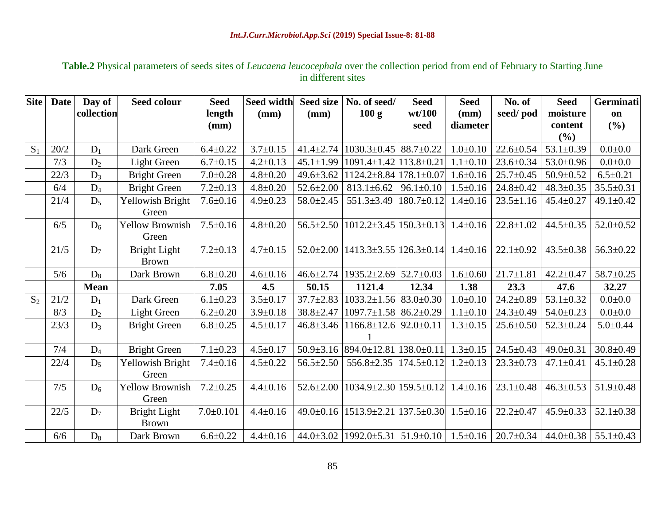## **Table.2** Physical parameters of seeds sites of *Leucaena leucocephala* over the collection period from end of February to Starting June in different sites

| <b>Site</b> | <b>Date</b> | Day of      | <b>Seed colour</b>               | <b>Seed</b>     | <b>Seed width</b> | <b>Seed size</b> | No. of seed/                                        | <b>Seed</b>      | <b>Seed</b>     | No. of          | <b>Seed</b>     | Germinati       |
|-------------|-------------|-------------|----------------------------------|-----------------|-------------------|------------------|-----------------------------------------------------|------------------|-----------------|-----------------|-----------------|-----------------|
|             |             | collection  |                                  | length          | (mm)              | (mm)             | 100 g                                               | wt/100           | $(\mathbf{mm})$ | seed/pod        | moisture        | on              |
|             |             |             |                                  | (mm)            |                   |                  |                                                     | seed             | diameter        |                 | content         | (%)             |
|             |             |             |                                  |                 |                   |                  |                                                     |                  |                 |                 | (%)             |                 |
| $S_1$       | 20/2        | $D_1$       | Dark Green                       | $6.4 \pm 0.22$  | $3.7 \pm 0.15$    | $41.4 \pm 2.74$  | $1030.3 \pm 0.45$                                   | $88.7 \pm 0.22$  | $1.0 \pm 0.10$  | $22.6 \pm 0.54$ | $53.1 \pm 0.39$ | $0.0 + 0.0$     |
|             | 7/3         | $D_2$       | Light Green                      | $6.7 \pm 0.15$  | $4.2 \pm 0.13$    | $45.1 \pm 1.99$  | $1091.4 \pm 1.42$   113.8 $\pm$ 0.21                |                  | $1.1 \pm 0.10$  | $23.6 \pm 0.34$ | $53.0 \pm 0.96$ | $0.0 + 0.0$     |
|             | 22/3        | $D_3$       | <b>Bright Green</b>              | $7.0 \pm 0.28$  | $4.8 \pm 0.20$    | $49.6 \pm 3.62$  | $1124.2 \pm 8.84$ 178.1 $\pm$ 0.07                  |                  | $1.6 \pm 0.16$  | $25.7 \pm 0.45$ | $50.9 \pm 0.52$ | $6.5 \pm 0.21$  |
|             | 6/4         | $D_4$       | <b>Bright Green</b>              | $7.2 \pm 0.13$  | $4.8 + 0.20$      | $52.6 \pm 2.00$  | $813.1 \pm 6.62$                                    | $96.1 \pm 0.10$  | $1.5 \pm 0.16$  | $24.8 \pm 0.42$ | $48.3 \pm 0.35$ | $35.5 \pm 0.31$ |
|             | 21/4        | $D_5$       | <b>Yellowish Bright</b><br>Green | $7.6 \pm 0.16$  | $4.9 \pm 0.23$    | $58.0 \pm 2.45$  | $551.3 \pm 3.49$                                    | $180.7 \pm 0.12$ | $1.4 \pm 0.16$  | $23.5 \pm 1.16$ | $45.4 \pm 0.27$ | $49.1 \pm 0.42$ |
|             | 6/5         | $D_6$       | <b>Yellow Brownish</b><br>Green  | $7.5 \pm 0.16$  | $4.8 + 0.20$      | $56.5 \pm 2.50$  | $1012.2 \pm 3.45 \mid 150.3 \pm 0.13 \mid$          |                  | $1.4 \pm 0.16$  | $22.8 \pm 1.02$ | $44.5 \pm 0.35$ | $52.0 \pm 0.52$ |
|             | 21/5        | $D_7$       | Bright Light<br><b>Brown</b>     | $7.2 \pm 0.13$  | $4.7 \pm 0.15$    | $52.0 \pm 2.00$  | $1413.3\pm3.55$  126.3 $\pm$ 0.14  1.4 $\pm$ 0.16   |                  |                 | $22.1 \pm 0.92$ | $43.5 \pm 0.38$ | $56.3 \pm 0.22$ |
|             | 5/6         | $D_8$       | Dark Brown                       | $6.8 \pm 0.20$  | $4.6 \pm 0.16$    | $46.6 \pm 2.74$  | $1935.2 \pm 2.69$                                   | $52.7 \pm 0.03$  | $1.6 \pm 0.60$  | $21.7 \pm 1.81$ | $42.2 \pm 0.47$ | $58.7 \pm 0.25$ |
|             |             | <b>Mean</b> |                                  | 7.05            | 4.5               | 50.15            | 1121.4                                              | 12.34            | 1.38            | 23.3            | 47.6            | 32.27           |
| $S_2$       | 21/2        | $D_1$       | Dark Green                       | $6.1 \pm 0.23$  | $3.5 \pm 0.17$    | $37.7 \pm 2.83$  | $1033.2 \pm 1.56$                                   | $83.0 \pm 0.30$  | $1.0 \pm 0.10$  | $24.2 \pm 0.89$ | $53.1 \pm 0.32$ | $0.0 + 0.0$     |
|             | 8/3         | $D_2$       | Light Green                      | $6.2 \pm 0.20$  | $3.9 \pm 0.18$    | $38.8 \pm 2.47$  | $1097.7 \pm 1.58$ 86.2 $\pm$ 0.29                   |                  | $1.1 \pm 0.10$  | $24.3 \pm 0.49$ | $54.0 \pm 0.23$ | $0.0 + 0.0$     |
|             | 23/3        | $D_3$       | <b>Bright Green</b>              | $6.8 \pm 0.25$  | $4.5 \pm 0.17$    | $46.8 \pm 3.46$  | $1166.8 \pm 12.6$ 92.0 $\pm$ 0.11                   |                  | $1.3 \pm 0.15$  | $25.6 \pm 0.50$ | $52.3 \pm 0.24$ | $5.0 \pm 0.44$  |
|             | 7/4         | $D_4$       | <b>Bright Green</b>              | $7.1 \pm 0.23$  | $4.5 \pm 0.17$    |                  | $50.9\pm3.16$ 894.0 $\pm$ 12.81 138.0 $\pm$ 0.11    |                  | $1.3 \pm 0.15$  | $24.5 \pm 0.43$ | $49.0 \pm 0.31$ | $30.8 \pm 0.49$ |
|             | 22/4        | $D_5$       | Yellowish Bright<br>Green        | $7.4 \pm 0.16$  | $4.5 \pm 0.22$    | $56.5 \pm 2.50$  | $556.8 \pm 2.35$                                    | $174.5 \pm 0.12$ | $1.2 \pm 0.13$  | $23.3 \pm 0.73$ | $47.1 \pm 0.41$ | $45.1 \pm 0.28$ |
|             | 7/5         | $D_6$       | <b>Yellow Brownish</b><br>Green  | $7.2 \pm 0.25$  | $4.4 \pm 0.16$    | $52.6 \pm 2.00$  | $1034.9 \pm 2.30   159.5 \pm 0.12  $                |                  | $1.4 \pm 0.16$  | $23.1 \pm 0.48$ | $46.3 \pm 0.53$ | $51.9 \pm 0.48$ |
|             | 22/5        | $D_7$       | Bright Light<br><b>Brown</b>     | $7.0 \pm 0.101$ | $4.4 \pm 0.16$    | $49.0 \pm 0.16$  | $1513.9 \pm 2.21   137.5 \pm 0.30  $                |                  | $1.5 \pm 0.16$  | $22.2 \pm 0.47$ | $45.9 \pm 0.33$ | $52.1 \pm 0.38$ |
|             | 6/6         | $D_8$       | Dark Brown                       | $6.6 \pm 0.22$  | $4.4 \pm 0.16$    |                  | $44.0\pm3.02$   1992.0 $\pm$ 5.31   51.9 $\pm$ 0.10 |                  | $1.5 \pm 0.16$  | $20.7 \pm 0.34$ | $44.0 \pm 0.38$ | $55.1 \pm 0.43$ |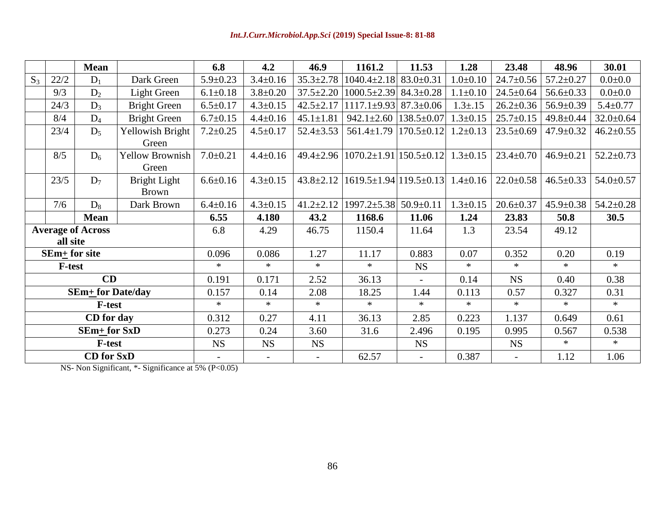|                          |                                      | <b>Mean</b> |                                 | 6.8            | 4.2                      | 46.9            | 1161.2                                                             | 11.53            | 1.28           | 23.48           | 48.96           | 30.01           |
|--------------------------|--------------------------------------|-------------|---------------------------------|----------------|--------------------------|-----------------|--------------------------------------------------------------------|------------------|----------------|-----------------|-----------------|-----------------|
| $S_3$                    | 22/2                                 | $D_1$       | Dark Green                      | $5.9 \pm 0.23$ | $3.4 \pm 0.16$           | $35.3 \pm 2.78$ | $1040.4 \pm 2.18$                                                  | $83.0 \pm 0.31$  | $1.0 \pm 0.10$ | $24.7 \pm 0.56$ | $57.2 \pm 0.27$ | $0.0 + 0.0$     |
|                          | 9/3                                  | $D_2$       | Light Green                     | $6.1 \pm 0.18$ | $3.8 \pm 0.20$           | $37.5 \pm 2.20$ | $1000.5 \pm 2.39$                                                  | $84.3 \pm 0.28$  | $1.1 \pm 0.10$ | $24.5 \pm 0.64$ | $56.6 \pm 0.33$ | $0.0 + 0.0$     |
|                          | 24/3                                 | $D_3$       | <b>Bright Green</b>             | $6.5 \pm 0.17$ | $4.3 \pm 0.15$           | $42.5 \pm 2.17$ | $1117.1\pm9.93$                                                    | $87.3 \pm 0.06$  | $1.3 \pm .15$  | $26.2 \pm 0.36$ | $56.9 \pm 0.39$ | $5.4 \pm 0.77$  |
|                          | 8/4                                  | $D_4$       | <b>Bright Green</b>             | $6.7 \pm 0.15$ | $4.4 \pm 0.16$           | $45.1 \pm 1.81$ | $942.1 \pm 2.60$                                                   | $138.5 \pm 0.07$ | $1.3 \pm 0.15$ | $25.7 \pm 0.15$ | 49.8±0.44       | $32.0 \pm 0.64$ |
|                          | 23/4                                 | $D_5$       | Yellowish Bright<br>Green       | $7.2 \pm 0.25$ | $4.5 \pm 0.17$           | $52.4 \pm 3.53$ | $561.4 \pm 1.79$                                                   | $170.5 \pm 0.12$ | $1.2 \pm 0.13$ | $23.5 \pm 0.69$ | $47.9 \pm 0.32$ | $46.2 \pm 0.55$ |
|                          | 8/5                                  | $D_6$       | <b>Yellow Brownish</b><br>Green | $7.0 \pm 0.21$ | $4.4 \pm 0.16$           |                 | $49.4\pm2.96$   1070.2 $\pm1.91$   150.5 $\pm0.12$   1.3 $\pm0.15$ |                  |                | $23.4 \pm 0.70$ | $46.9 \pm 0.21$ | $52.2 \pm 0.73$ |
|                          | 23/5                                 | $D_7$       | Bright Light<br><b>Brown</b>    | $6.6 \pm 0.16$ | $4.3 \pm 0.15$           | $43.8 \pm 2.12$ | $1619.5 \pm 1.94$ 119.5 $\pm$ 0.13 1.4 $\pm$ 0.16                  |                  |                | $22.0 \pm 0.58$ | $46.5 \pm 0.33$ | $54.0 \pm 0.57$ |
|                          | 7/6                                  | $D_8$       | Dark Brown                      | $6.4 \pm 0.16$ | $4.3 \pm 0.15$           | $41.2 \pm 2.12$ | 1997.2±5.38                                                        | $50.9 \pm 0.11$  | $1.3 \pm 0.15$ | $20.6 \pm 0.37$ | $45.9 \pm 0.38$ | $54.2 \pm 0.28$ |
|                          |                                      | <b>Mean</b> |                                 | 6.55           | 4.180                    | 43.2            | 1168.6                                                             | 11.06            | 1.24           | 23.83           | 50.8            | 30.5            |
|                          | <b>Average of Across</b><br>all site |             |                                 | 6.8            | 4.29                     | 46.75           | 1150.4                                                             | 11.64            | 1.3            | 23.54           | 49.12           |                 |
| $SEm+$ for site          |                                      |             |                                 | 0.096          | 0.086                    | 1.27            | 11.17                                                              | 0.883            | 0.07           | 0.352           | 0.20            | 0.19            |
|                          | <b>F-test</b>                        |             |                                 | $\ast$         | $\ast$                   | $\ast$          | $*$                                                                | <b>NS</b>        | $\ast$         | $\ast$          | $\ast$          | $\ast$          |
| CD                       |                                      |             | 0.191                           | 0.171          | 2.52                     | 36.13           | $\equiv$                                                           | 0.14             | <b>NS</b>      | 0.40            | 0.38            |                 |
| <b>SEm+ for Date/day</b> |                                      |             | 0.157                           | 0.14           | 2.08                     | 18.25           | 1.44                                                               | 0.113            | 0.57           | 0.327           | 0.31            |                 |
| <b>F-test</b>            |                                      |             | $\ast$                          | $\ast$         | $\ast$                   | $*$             | $\ast$                                                             | $\ast$           | $\ast$         | $\ast$          | $\ast$          |                 |
| CD for day               |                                      |             | 0.312                           | 0.27           | 4.11                     | 36.13           | 2.85                                                               | 0.223            | 1.137          | 0.649           | 0.61            |                 |
| $SEm+$ for $SxD$         |                                      |             | 0.273                           | 0.24           | 3.60                     | 31.6            | 2.496                                                              | 0.195            | 0.995          | 0.567           | 0.538           |                 |
| <b>F-test</b>            |                                      |             | <b>NS</b>                       | <b>NS</b>      | <b>NS</b>                |                 | <b>NS</b>                                                          |                  | <b>NS</b>      | $\ast$          | $\ast$          |                 |
| <b>CD</b> for SxD        |                                      |             | $\overline{\phantom{a}}$        |                | $\overline{\phantom{a}}$ | 62.57           | $\overline{\phantom{a}}$                                           | 0.387            |                | 1.12            | 1.06            |                 |

NS- Non Significant, \*- Significance at 5% (P<0.05)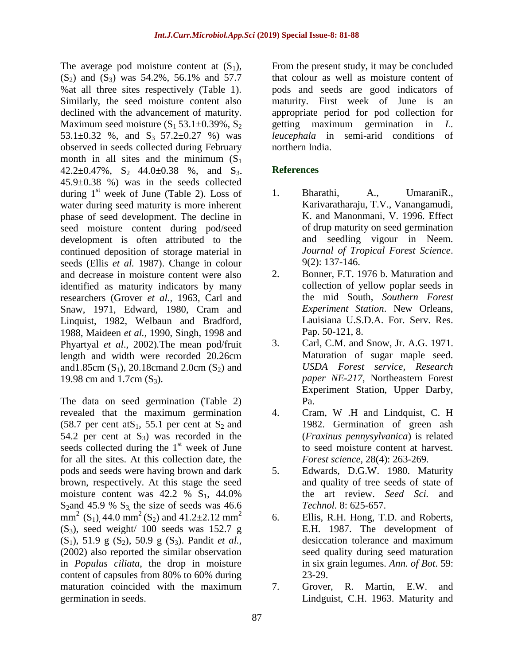The average pod moisture content at  $(S_1)$ ,  $(S_2)$  and  $(S_3)$  was 54.2%, 56.1% and 57.7 %at all three sites respectively (Table 1). Similarly, the seed moisture content also declined with the advancement of maturity. Maximum seed moisture  $(S_1 53.1 \pm 0.39\% , S_2)$ 53.1 $\pm$ 0.32 %, and S<sub>3</sub> 57.2 $\pm$ 0.27 %) was observed in seeds collected during February month in all sites and the minimum  $(S_1)$  $42.2\pm0.47\%$ ,  $S_2$   $44.0\pm0.38$  %, and  $S_3$ . 45.9±0.38 %) was in the seeds collected during  $1<sup>st</sup>$  week of June (Table 2). Loss of water during seed maturity is more inherent phase of seed development. The decline in seed moisture content during pod/seed development is often attributed to the continued deposition of storage material in seeds (Ellis *et al.* 1987). Change in colour and decrease in moisture content were also identified as maturity indicators by many researchers (Grover *et al.,* 1963, Carl and Snaw, 1971, Edward, 1980, Cram and Linquist, 1982, Welbaun and Bradford, 1988, Maideen *et al.,* 1990, Singh, 1998 and Phyartyal *et al*., 2002)*.*The mean pod/fruit length and width were recorded 20.26cm and 1.85cm  $(S_1)$ , 20.18cmand 2.0cm  $(S_2)$  and 19.98 cm and 1.7cm  $(S_3)$ .

The data on seed germination (Table 2) revealed that the maximum germination (58.7 per cent at S<sub>1</sub>, 55.1 per cent at S<sub>2</sub> and 54.2 per cent at  $S_3$ ) was recorded in the seeds collected during the  $1<sup>st</sup>$  week of June for all the sites. At this collection date, the pods and seeds were having brown and dark brown, respectively. At this stage the seed moisture content was  $42.2 \%$  S<sub>1</sub>,  $44.0%$ S<sub>2</sub>and 45.9 % S<sub>3</sub>, the size of seeds was 46.6 mm<sup>2</sup> (S<sub>1</sub>), 44.0 mm<sup>2</sup> (S<sub>2</sub>) and 41.2±2.12 mm<sup>2</sup>  $(S_3)$ , seed weight/ 100 seeds was 152.7 g (S1), 51.9 g (S2), 50.9 g (S3). Pandit *et al.,* (2002) also reported the similar observation in *Populus ciliata*, the drop in moisture content of capsules from 80% to 60% during maturation coincided with the maximum germination in seeds.

From the present study, it may be concluded that colour as well as moisture content of pods and seeds are good indicators of maturity. First week of June is an appropriate period for pod collection for getting maximum germination in *L. leucephala* in semi-arid conditions of northern India.

## **References**

- 1. Bharathi, A., UmaraniR., Karivaratharaju, T.V., Vanangamudi, K. and Manonmani, V. 1996. Effect of drup maturity on seed germination and seedling vigour in Neem. *Journal of Tropical Forest Science*. 9(2): 137-146.
- 2. Bonner, F.T. 1976 b. Maturation and collection of yellow poplar seeds in the mid South, *Southern Forest Experiment Station*. New Orleans, Lauisiana U.S.D.A. For. Serv. Res. Pap. 50-121, 8.
- 3. Carl, C.M. and Snow, Jr. A.G. 1971. Maturation of sugar maple seed. *USDA Forest service, Research paper NE-217*, Northeastern Forest Experiment Station, Upper Darby, Pa.
- 4. Cram, W .H and Lindquist, C. H 1982. Germination of green ash (*Fraxinus pennysylvanica*) is related to seed moisture content at harvest. *Forest science*, 28(4): 263-269.
- 5. Edwards, D.G.W. 1980. Maturity and quality of tree seeds of state of the art review. *Seed Sci.* and *Technol.* 8: 625-657.
- 6. Ellis, R.H. Hong, T.D. and Roberts, E.H. 1987. The development of desiccation tolerance and maximum seed quality during seed maturation in six grain legumes. *Ann. of Bot*. 59: 23-29.
- 7. Grover, R. Martin, E.W. and Lindguist, C.H. 1963. Maturity and